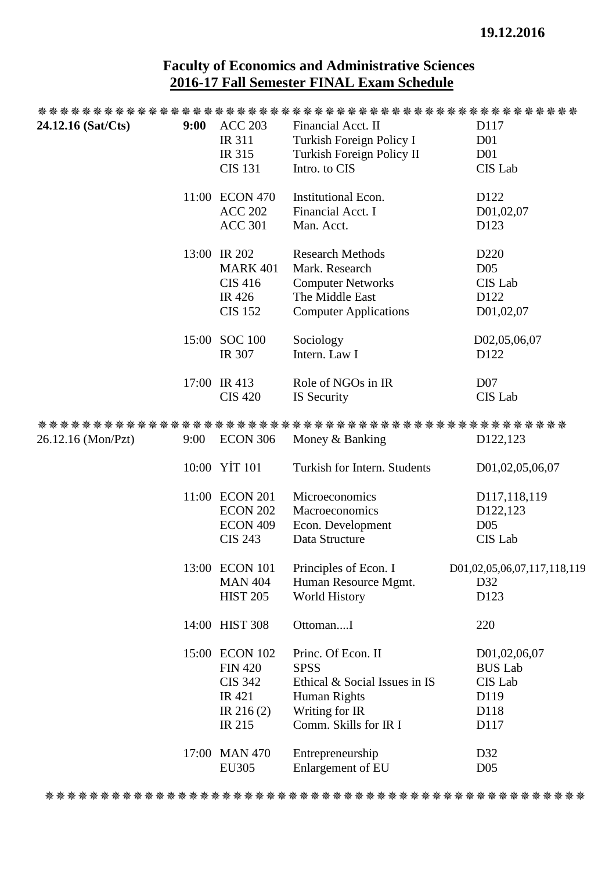## **Faculty of Economics and Administrative Sciences 2016-17 Fall Semester FINAL Exam Schedule**

| 24.12.16 (Sat/Cts) | 9:00 | <b>ACC 203</b>  | Financial Acct. II            | D117                        |
|--------------------|------|-----------------|-------------------------------|-----------------------------|
|                    |      | IR 311          | Turkish Foreign Policy I      | D <sub>01</sub>             |
|                    |      | IR 315          | Turkish Foreign Policy II     | D <sub>01</sub>             |
|                    |      | <b>CIS 131</b>  | Intro. to CIS                 | CIS Lab                     |
|                    |      | 11:00 ECON 470  | Institutional Econ.           | D122                        |
|                    |      | <b>ACC 202</b>  | Financial Acct. I             | D01,02,07                   |
|                    |      | <b>ACC 301</b>  | Man. Acct.                    | D <sub>123</sub>            |
|                    |      | 13:00 IR 202    | <b>Research Methods</b>       | D <sub>220</sub>            |
|                    |      | <b>MARK 401</b> | Mark. Research                | D <sub>05</sub>             |
|                    |      | <b>CIS 416</b>  | <b>Computer Networks</b>      | CIS Lab                     |
|                    |      | <b>IR426</b>    | The Middle East               | D122                        |
|                    |      | <b>CIS 152</b>  | <b>Computer Applications</b>  | D01,02,07                   |
|                    |      | 15:00 SOC 100   | Sociology                     | D02,05,06,07                |
|                    |      | <b>IR 307</b>   | Intern. Law I                 | D <sub>122</sub>            |
|                    |      | 17:00 IR 413    | Role of NGOs in IR            | D <sub>07</sub>             |
|                    |      | <b>CIS 420</b>  | IS Security                   | <b>CIS</b> Lab              |
|                    |      |                 |                               |                             |
| 26.12.16 (Mon/Pzt) | 9:00 | ECON 306        | Money & Banking               | D <sub>122</sub> , 123      |
|                    |      | 10:00 YİT 101   | Turkish for Intern. Students  | D01,02,05,06,07             |
|                    |      | 11:00 ECON 201  | Microeconomics                | D117,118,119                |
|                    |      | <b>ECON 202</b> | Macroeconomics                | D122,123                    |
|                    |      | <b>ECON 409</b> | Econ. Development             | D <sub>05</sub>             |
|                    |      | <b>CIS 243</b>  | Data Structure                | <b>CIS</b> Lab              |
|                    |      | 13:00 ECON 101  | Principles of Econ. I         | D01,02,05,06,07,117,118,119 |
|                    |      | <b>MAN 404</b>  | Human Resource Mgmt.          | D32                         |
|                    |      | <b>HIST 205</b> | <b>World History</b>          | D123                        |
|                    |      | 14:00 HIST 308  | OttomanI                      | 220                         |
|                    |      | 15:00 ECON 102  | Princ. Of Econ. II            | D01,02,06,07                |
|                    |      | <b>FIN 420</b>  | <b>SPSS</b>                   | <b>BUS Lab</b>              |
|                    |      | <b>CIS 342</b>  | Ethical & Social Issues in IS | CIS Lab                     |
|                    |      | IR 421          | Human Rights                  | D119                        |
|                    |      | IR $216(2)$     | Writing for IR                | D118                        |
|                    |      | IR 215          | Comm. Skills for IR I         | D117                        |
|                    |      | 17:00 MAN 470   | Entrepreneurship              | D32                         |
|                    |      | <b>EU305</b>    | Enlargement of EU             | D <sub>05</sub>             |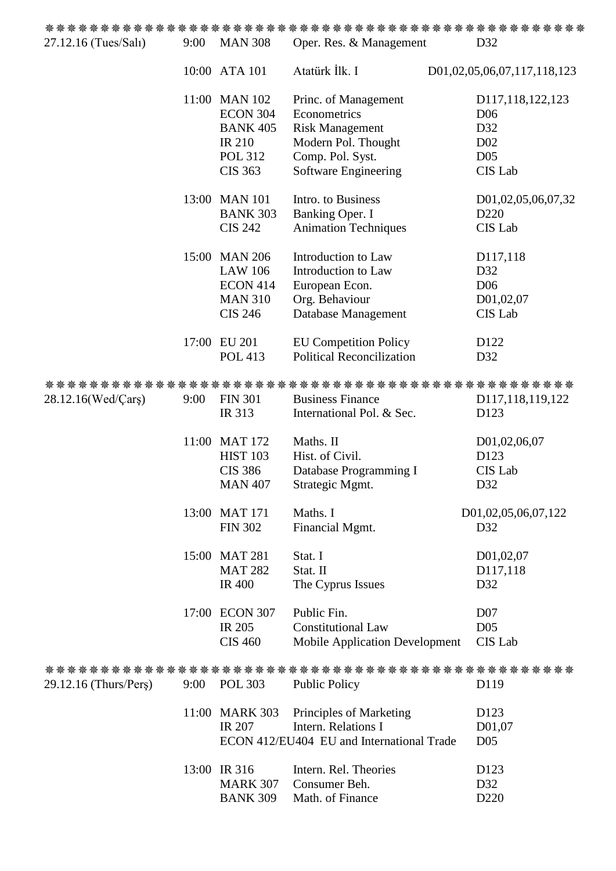| 27.12.16 (Tues/Salı)  | 9:00 | <b>MAN 308</b>  | Oper. Res. & Management                   | D32                         |
|-----------------------|------|-----------------|-------------------------------------------|-----------------------------|
|                       |      | 10:00 ATA 101   | Atatürk İlk. I                            | D01,02,05,06,07,117,118,123 |
|                       |      | 11:00 MAN 102   | Princ. of Management                      | D117,118,122,123            |
|                       |      | <b>ECON 304</b> | Econometrics                              | D <sub>06</sub>             |
|                       |      | <b>BANK 405</b> | <b>Risk Management</b>                    | D32                         |
|                       |      | <b>IR 210</b>   | Modern Pol. Thought                       | D <sub>02</sub>             |
|                       |      | <b>POL 312</b>  | Comp. Pol. Syst.                          | D <sub>05</sub>             |
|                       |      | <b>CIS 363</b>  | Software Engineering                      | CIS Lab                     |
|                       |      | 13:00 MAN 101   | Intro. to Business                        | D01,02,05,06,07,32          |
|                       |      | <b>BANK 303</b> | Banking Oper. I                           | D <sub>220</sub>            |
|                       |      | <b>CIS 242</b>  | <b>Animation Techniques</b>               | CIS Lab                     |
|                       |      | 15:00 MAN 206   | Introduction to Law                       | D117,118                    |
|                       |      | <b>LAW 106</b>  | Introduction to Law                       | D32                         |
|                       |      | <b>ECON 414</b> | European Econ.                            | D <sub>06</sub>             |
|                       |      | <b>MAN 310</b>  | Org. Behaviour                            | D01,02,07                   |
|                       |      | <b>CIS 246</b>  | Database Management                       | CIS Lab                     |
|                       |      | 17:00 EU 201    | <b>EU Competition Policy</b>              | D <sub>122</sub>            |
|                       |      | <b>POL 413</b>  | <b>Political Reconcilization</b>          | D32                         |
|                       |      |                 |                                           |                             |
| 28.12.16(Wed/Cars)    | 9:00 | <b>FIN 301</b>  | <b>Business Finance</b>                   | D117,118,119,122            |
|                       |      | IR 313          | International Pol. & Sec.                 | D123                        |
|                       |      | 11:00 MAT 172   | Maths. II                                 | D01,02,06,07                |
|                       |      | <b>HIST 103</b> | Hist. of Civil.                           | D123                        |
|                       |      | <b>CIS 386</b>  | Database Programming I                    | CIS Lab                     |
|                       |      | <b>MAN 407</b>  | Strategic Mgmt.                           | D32                         |
|                       |      | 13:00 MAT 171   | Maths. I                                  | D01,02,05,06,07,122         |
|                       |      | <b>FIN 302</b>  | Financial Mgmt.                           | D32                         |
|                       |      | 15:00 MAT 281   | Stat. I                                   | D01,02,07                   |
|                       |      | <b>MAT 282</b>  | Stat. II                                  | D117,118                    |
|                       |      | <b>IR 400</b>   | The Cyprus Issues                         | D32                         |
|                       |      | 17:00 ECON 307  | Public Fin.                               | D <sub>07</sub>             |
|                       |      | <b>IR 205</b>   | <b>Constitutional Law</b>                 | D <sub>05</sub>             |
|                       |      | <b>CIS 460</b>  | <b>Mobile Application Development</b>     | CIS Lab                     |
|                       |      |                 |                                           |                             |
| 29.12.16 (Thurs/Pers) |      | 9:00 POL 303    | <b>Public Policy</b>                      | D119                        |
|                       |      | 11:00 MARK 303  | Principles of Marketing                   | D123                        |
|                       |      | <b>IR 207</b>   | Intern. Relations I                       | D01,07                      |
|                       |      |                 | ECON 412/EU404 EU and International Trade | D <sub>05</sub>             |
|                       |      | 13:00 IR 316    | Intern. Rel. Theories                     | D <sub>123</sub>            |
|                       |      | <b>MARK 307</b> | Consumer Beh.                             | D32                         |
|                       |      | <b>BANK 309</b> | Math. of Finance                          | D <sub>220</sub>            |